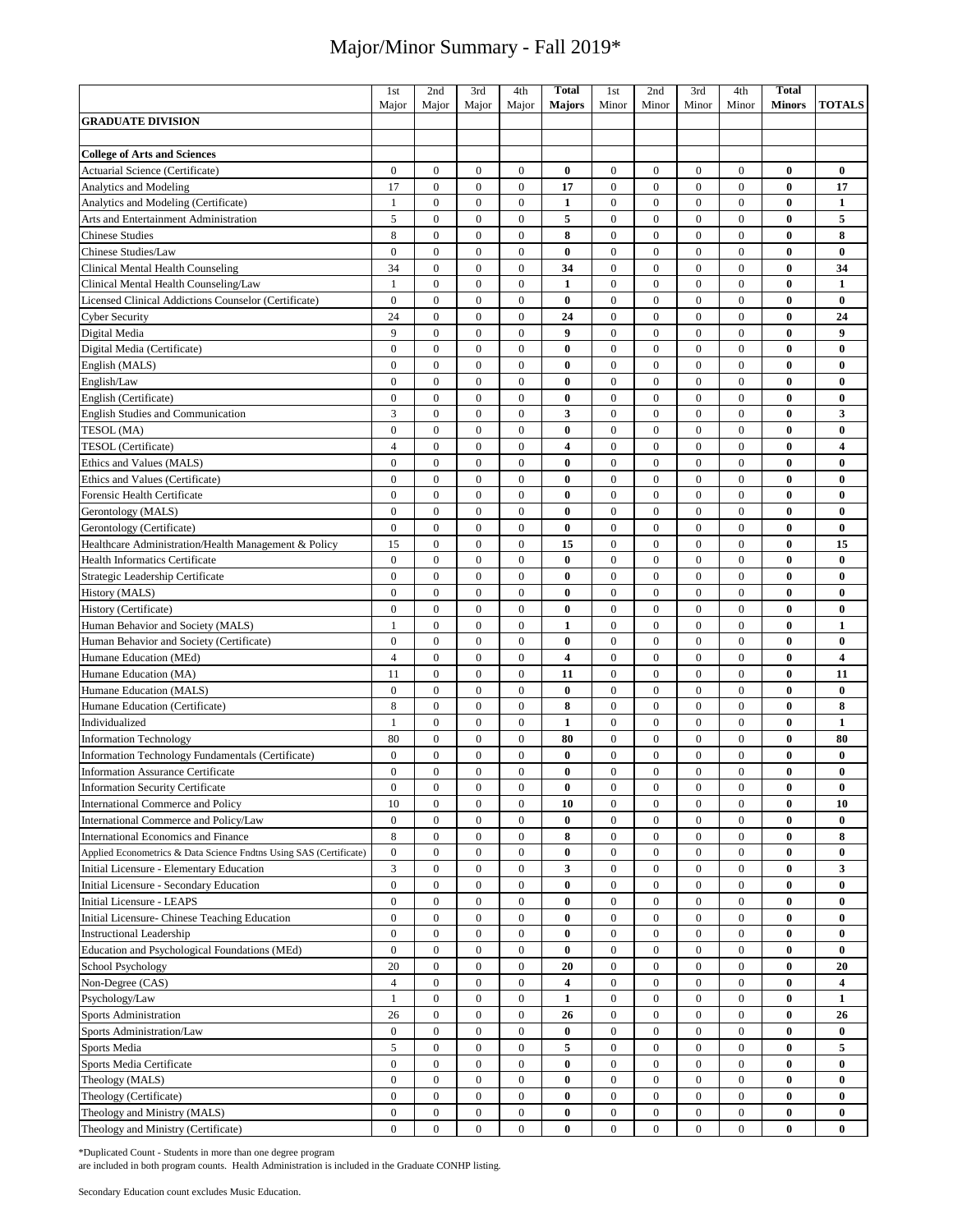|                                                                    | 1st              | 2nd              | 3rd              | 4th              | <b>Total</b>            | 1st              | 2nd              | 3rd              | 4th              | <b>Total</b>  |                         |
|--------------------------------------------------------------------|------------------|------------------|------------------|------------------|-------------------------|------------------|------------------|------------------|------------------|---------------|-------------------------|
|                                                                    | Major            | Major            | Major            | Major            | <b>Majors</b>           | Minor            | Minor            | Minor            | Minor            | <b>Minors</b> | <b>TOTALS</b>           |
| <b>GRADUATE DIVISION</b>                                           |                  |                  |                  |                  |                         |                  |                  |                  |                  |               |                         |
|                                                                    |                  |                  |                  |                  |                         |                  |                  |                  |                  |               |                         |
| <b>College of Arts and Sciences</b>                                |                  |                  |                  |                  |                         |                  |                  |                  |                  |               |                         |
| Actuarial Science (Certificate)                                    | $\mathbf{0}$     | $\boldsymbol{0}$ | $\boldsymbol{0}$ | $\boldsymbol{0}$ | $\bf{0}$                | $\boldsymbol{0}$ | $\mathbf{0}$     | $\mathbf{0}$     | $\mathbf{0}$     | $\bf{0}$      | $\bf{0}$                |
| <b>Analytics and Modeling</b>                                      | 17               | $\boldsymbol{0}$ | $\boldsymbol{0}$ | $\boldsymbol{0}$ | 17                      | $\boldsymbol{0}$ | $\mathbf{0}$     | $\mathbf{0}$     | $\overline{0}$   | $\bf{0}$      | 17                      |
| Analytics and Modeling (Certificate)                               | $\mathbf{1}$     | $\boldsymbol{0}$ | $\boldsymbol{0}$ | $\boldsymbol{0}$ | $\mathbf{1}$            | $\boldsymbol{0}$ | $\overline{0}$   | $\mathbf{0}$     | $\overline{0}$   | $\bf{0}$      | $\mathbf{1}$            |
| Arts and Entertainment Administration                              | 5                | $\overline{0}$   | $\overline{0}$   | $\overline{0}$   | 5                       | $\mathbf{0}$     | $\mathbf{0}$     | $\mathbf{0}$     | $\overline{0}$   | $\bf{0}$      | 5                       |
| <b>Chinese Studies</b>                                             | 8                | $\boldsymbol{0}$ | $\boldsymbol{0}$ | $\boldsymbol{0}$ | 8                       | $\boldsymbol{0}$ | $\mathbf{0}$     | $\mathbf{0}$     | $\overline{0}$   | $\bf{0}$      | 8                       |
| Chinese Studies/Law                                                | $\mathbf{0}$     | $\mathbf{0}$     | $\overline{0}$   | $\overline{0}$   | $\bf{0}$                | $\boldsymbol{0}$ | $\overline{0}$   | $\mathbf{0}$     | $\overline{0}$   | $\bf{0}$      | $\bf{0}$                |
|                                                                    |                  |                  |                  |                  |                         |                  |                  |                  |                  |               |                         |
| Clinical Mental Health Counseling                                  | 34               | $\boldsymbol{0}$ | $\boldsymbol{0}$ | $\boldsymbol{0}$ | 34                      | $\boldsymbol{0}$ | $\overline{0}$   | $\mathbf{0}$     | $\overline{0}$   | $\bf{0}$      | 34                      |
| Clinical Mental Health Counseling/Law                              | $\mathbf{1}$     | $\mathbf{0}$     | $\mathbf{0}$     | $\mathbf{0}$     | $\mathbf{1}$            | $\mathbf{0}$     | $\mathbf{0}$     | $\mathbf{0}$     | $\mathbf{0}$     | $\bf{0}$      | $\mathbf{1}$            |
| Licensed Clinical Addictions Counselor (Certificate)               | $\boldsymbol{0}$ | $\boldsymbol{0}$ | $\boldsymbol{0}$ | $\boldsymbol{0}$ | $\bf{0}$                | $\boldsymbol{0}$ | $\mathbf{0}$     | $\mathbf{0}$     | $\mathbf{0}$     | $\bf{0}$      | $\bf{0}$                |
| <b>Cyber Security</b>                                              | 24               | $\boldsymbol{0}$ | $\boldsymbol{0}$ | $\boldsymbol{0}$ | 24                      | $\boldsymbol{0}$ | $\mathbf{0}$     | $\mathbf{0}$     | $\overline{0}$   | 0             | 24                      |
| Digital Media                                                      | 9                | $\boldsymbol{0}$ | $\boldsymbol{0}$ | $\boldsymbol{0}$ | 9                       | $\boldsymbol{0}$ | $\mathbf{0}$     | $\mathbf{0}$     | $\mathbf{0}$     | $\bf{0}$      | $\boldsymbol{9}$        |
| Digital Media (Certificate)                                        | $\mathbf{0}$     | $\mathbf{0}$     | $\mathbf{0}$     | $\mathbf{0}$     | $\bf{0}$                | $\mathbf{0}$     | $\mathbf{0}$     | $\mathbf{0}$     | $\mathbf{0}$     | $\bf{0}$      | $\bf{0}$                |
| English (MALS)                                                     | $\overline{0}$   | $\mathbf{0}$     | $\overline{0}$   | $\boldsymbol{0}$ | $\bf{0}$                | $\boldsymbol{0}$ | $\mathbf{0}$     | $\mathbf{0}$     | $\mathbf{0}$     | $\bf{0}$      | $\bf{0}$                |
| English/Law                                                        | $\Omega$         | $\overline{0}$   | $\overline{0}$   | $\mathbf{0}$     | $\bf{0}$                | $\mathbf{0}$     | $\overline{0}$   | $\mathbf{0}$     | $\overline{0}$   | $\bf{0}$      | $\bf{0}$                |
| English (Certificate)                                              | $\mathbf{0}$     | $\mathbf{0}$     | $\mathbf{0}$     | $\boldsymbol{0}$ | $\bf{0}$                | $\boldsymbol{0}$ | $\mathbf{0}$     | $\mathbf{0}$     | $\mathbf{0}$     | $\bf{0}$      | $\bf{0}$                |
| <b>English Studies and Communication</b>                           | 3                | $\mathbf{0}$     | $\overline{0}$   | $\overline{0}$   | 3                       | $\mathbf{0}$     | $\overline{0}$   | $\mathbf{0}$     | $\mathbf{0}$     | $\bf{0}$      | 3                       |
| TESOL (MA)                                                         | $\mathbf{0}$     | $\mathbf{0}$     | $\mathbf{0}$     | $\overline{0}$   | $\bf{0}$                | $\mathbf{0}$     | $\mathbf{0}$     | $\mathbf{0}$     | $\overline{0}$   | $\bf{0}$      | $\bf{0}$                |
| TESOL (Certificate)                                                | $\overline{4}$   | $\overline{0}$   | $\overline{0}$   | $\overline{0}$   | $\overline{\mathbf{4}}$ | $\mathbf{0}$     | $\mathbf{0}$     | $\mathbf{0}$     | $\overline{0}$   | $\bf{0}$      | $\overline{\mathbf{4}}$ |
| Ethics and Values (MALS)                                           | $\mathbf{0}$     | $\mathbf{0}$     | $\overline{0}$   | $\mathbf{0}$     | $\bf{0}$                | $\boldsymbol{0}$ | $\mathbf{0}$     | $\mathbf{0}$     | $\overline{0}$   | $\bf{0}$      | $\bf{0}$                |
| Ethics and Values (Certificate)                                    | $\mathbf{0}$     | $\overline{0}$   | $\overline{0}$   | $\overline{0}$   | $\bf{0}$                | $\mathbf{0}$     | $\overline{0}$   | $\mathbf{0}$     | $\overline{0}$   | $\bf{0}$      | $\bf{0}$                |
| Forensic Health Certificate                                        | $\mathbf{0}$     | $\mathbf{0}$     | $\mathbf{0}$     | $\mathbf{0}$     | $\bf{0}$                | $\mathbf{0}$     | $\mathbf{0}$     | $\mathbf{0}$     | $\overline{0}$   | $\bf{0}$      | $\bf{0}$                |
| Gerontology (MALS)                                                 | $\mathbf{0}$     | $\mathbf{0}$     | $\mathbf{0}$     | $\mathbf{0}$     | $\bf{0}$                | $\mathbf{0}$     | $\mathbf{0}$     | $\mathbf{0}$     | $\overline{0}$   | $\bf{0}$      | $\bf{0}$                |
| Gerontology (Certificate)                                          | $\boldsymbol{0}$ | $\bf{0}$         | $\boldsymbol{0}$ | $\boldsymbol{0}$ | $\bf{0}$                | $\boldsymbol{0}$ | $\mathbf{0}$     | $\mathbf{0}$     | $\mathbf{0}$     | $\bf{0}$      | $\bf{0}$                |
| Healthcare Administration/Health Management & Policy               | 15               | $\mathbf{0}$     | $\mathbf{0}$     | $\mathbf{0}$     | 15                      | $\mathbf{0}$     | $\overline{0}$   | $\mathbf{0}$     | $\mathbf{0}$     | $\bf{0}$      | 15                      |
| <b>Health Informatics Certificate</b>                              | $\mathbf{0}$     | $\mathbf{0}$     | $\mathbf{0}$     | $\mathbf{0}$     | $\bf{0}$                | $\mathbf{0}$     | $\mathbf{0}$     | $\mathbf{0}$     | $\mathbf{0}$     | $\bf{0}$      | $\bf{0}$                |
| Strategic Leadership Certificate                                   | $\mathbf{0}$     | $\boldsymbol{0}$ | $\boldsymbol{0}$ | $\boldsymbol{0}$ | $\bf{0}$                | $\boldsymbol{0}$ | $\mathbf{0}$     | $\mathbf{0}$     | $\mathbf{0}$     | $\bf{0}$      | $\bf{0}$                |
| History (MALS)                                                     | $\mathbf{0}$     | $\overline{0}$   | $\overline{0}$   | $\overline{0}$   | $\bf{0}$                | $\boldsymbol{0}$ | $\mathbf{0}$     | $\mathbf{0}$     | $\overline{0}$   | $\bf{0}$      | $\bf{0}$                |
| History (Certificate)                                              | $\mathbf{0}$     | $\boldsymbol{0}$ | $\mathbf{0}$     | $\mathbf{0}$     | $\bf{0}$                | $\boldsymbol{0}$ | $\mathbf{0}$     | $\mathbf{0}$     | $\mathbf{0}$     | $\bf{0}$      | $\bf{0}$                |
| Human Behavior and Society (MALS)                                  | $\mathbf{1}$     | $\mathbf{0}$     | $\mathbf{0}$     | $\mathbf{0}$     | $\mathbf{1}$            | $\boldsymbol{0}$ | $\mathbf{0}$     | $\mathbf{0}$     | $\mathbf{0}$     | $\bf{0}$      | $\mathbf{1}$            |
| Human Behavior and Society (Certificate)                           | $\overline{0}$   | $\overline{0}$   | $\overline{0}$   | $\boldsymbol{0}$ | $\bf{0}$                | $\boldsymbol{0}$ | $\overline{0}$   | $\overline{0}$   | $\overline{0}$   | $\bf{0}$      | $\bf{0}$                |
| Humane Education (MEd)                                             | $\overline{4}$   | $\mathbf{0}$     | $\mathbf{0}$     | $\mathbf{0}$     | 4                       | $\mathbf{0}$     | $\mathbf{0}$     | $\mathbf{0}$     | $\mathbf{0}$     | $\bf{0}$      | $\overline{\mathbf{4}}$ |
| Humane Education (MA)                                              | 11               | $\boldsymbol{0}$ | $\boldsymbol{0}$ | $\boldsymbol{0}$ | 11                      | $\mathbf{0}$     | $\mathbf{0}$     | $\mathbf{0}$     | $\overline{0}$   | $\bf{0}$      | 11                      |
| Humane Education (MALS)                                            | $\overline{0}$   | $\overline{0}$   | $\overline{0}$   | $\overline{0}$   | $\bf{0}$                | $\boldsymbol{0}$ | $\overline{0}$   | $\mathbf{0}$     | $\overline{0}$   | $\bf{0}$      | $\bf{0}$                |
|                                                                    | 8                | $\boldsymbol{0}$ | $\boldsymbol{0}$ | $\boldsymbol{0}$ | 8                       |                  | $\boldsymbol{0}$ |                  |                  | $\bf{0}$      |                         |
| Humane Education (Certificate)                                     |                  |                  |                  |                  |                         | $\boldsymbol{0}$ |                  | $\boldsymbol{0}$ | $\boldsymbol{0}$ |               | 8                       |
| Individualized                                                     | $\mathbf{1}$     | $\boldsymbol{0}$ | $\boldsymbol{0}$ | $\boldsymbol{0}$ | 1                       | $\boldsymbol{0}$ | $\mathbf{0}$     | $\mathbf{0}$     | 0                | $\bf{0}$      | 1                       |
| <b>Information Technology</b>                                      | 80               | $\boldsymbol{0}$ | $\overline{0}$   | $\mathbf{0}$     | 80                      | $\boldsymbol{0}$ | $\mathbf{0}$     | $\mathbf{0}$     | $\mathbf{0}$     | $\bf{0}$      | 80                      |
| Information Technology Fundamentals (Certificate)                  | $\mathbf{0}$     | $\overline{0}$   | $\overline{0}$   | $\mathbf{0}$     | $\bf{0}$                | $\mathbf{0}$     | $\overline{0}$   | $\mathbf{0}$     | $\overline{0}$   | $\bf{0}$      | $\bf{0}$                |
| <b>Information Assurance Certificate</b>                           | $\mathbf{0}$     | $\overline{0}$   | $\overline{0}$   | $\overline{0}$   | $\bf{0}$                | $\mathbf{0}$     | $\mathbf{0}$     | $\mathbf{0}$     | $\mathbf{0}$     | $\bf{0}$      | $\bf{0}$                |
| <b>Information Security Certificate</b>                            | $\boldsymbol{0}$ | $\boldsymbol{0}$ | 0                | $\boldsymbol{0}$ | 0                       | $\boldsymbol{0}$ | $\boldsymbol{0}$ | $\boldsymbol{0}$ | 0                | $\bf{0}$      | 0                       |
| International Commerce and Policy                                  | 10               | $\boldsymbol{0}$ | $\boldsymbol{0}$ | $\boldsymbol{0}$ | 10                      | $\boldsymbol{0}$ | $\boldsymbol{0}$ | $\boldsymbol{0}$ | $\overline{0}$   | $\bf{0}$      | 10                      |
| International Commerce and Policy/Law                              | $\mathbf{0}$     | $\overline{0}$   | $\overline{0}$   | $\boldsymbol{0}$ | $\bf{0}$                | $\boldsymbol{0}$ | $\boldsymbol{0}$ | $\boldsymbol{0}$ | $\overline{0}$   | $\bf{0}$      | $\bf{0}$                |
| International Economics and Finance                                | $\,$ 8 $\,$      | $\boldsymbol{0}$ | $\boldsymbol{0}$ | $\boldsymbol{0}$ | 8                       | $\boldsymbol{0}$ | $\boldsymbol{0}$ | $\boldsymbol{0}$ | $\bf{0}$         | $\bf{0}$      | 8                       |
| Applied Econometrics & Data Science Fndtns Using SAS (Certificate) | $\boldsymbol{0}$ | $\boldsymbol{0}$ | $\boldsymbol{0}$ | $\boldsymbol{0}$ | $\pmb{0}$               | $\boldsymbol{0}$ | $\boldsymbol{0}$ | $\boldsymbol{0}$ | $\boldsymbol{0}$ | $\bf{0}$      | 0                       |
| Initial Licensure - Elementary Education                           | 3                | $\boldsymbol{0}$ | $\boldsymbol{0}$ | $\boldsymbol{0}$ | 3                       | $\boldsymbol{0}$ | $\boldsymbol{0}$ | $\bf{0}$         | $\overline{0}$   | $\bf{0}$      | 3                       |
| Initial Licensure - Secondary Education                            | $\boldsymbol{0}$ | $\boldsymbol{0}$ | $\boldsymbol{0}$ | $\boldsymbol{0}$ | $\bf{0}$                | $\boldsymbol{0}$ | $\boldsymbol{0}$ | $\boldsymbol{0}$ | $\boldsymbol{0}$ | $\bf{0}$      | $\bf{0}$                |
| Initial Licensure - LEAPS                                          | $\boldsymbol{0}$ | $\boldsymbol{0}$ | $\boldsymbol{0}$ | $\bf{0}$         | $\bf{0}$                | $\bf{0}$         | $\boldsymbol{0}$ | $\bf{0}$         | $\bf{0}$         | $\bf{0}$      | $\bf{0}$                |
| Initial Licensure- Chinese Teaching Education                      | $\boldsymbol{0}$ | $\boldsymbol{0}$ | $\boldsymbol{0}$ | $\boldsymbol{0}$ | $\bf{0}$                | $\boldsymbol{0}$ | $\mathbf{0}$     | $\boldsymbol{0}$ | $\boldsymbol{0}$ | $\bf{0}$      | $\bf{0}$                |
| <b>Instructional Leadership</b>                                    | $\mathbf{0}$     | $\bf{0}$         | $\boldsymbol{0}$ | $\boldsymbol{0}$ | $\bf{0}$                | $\boldsymbol{0}$ | $\mathbf{0}$     | $\mathbf{0}$     | $\overline{0}$   | $\bf{0}$      | $\bf{0}$                |
| Education and Psychological Foundations (MEd)                      | $\boldsymbol{0}$ | $\boldsymbol{0}$ | $\boldsymbol{0}$ | $\boldsymbol{0}$ | $\bf{0}$                | $\boldsymbol{0}$ | $\mathbf{0}$     | $\mathbf{0}$     | $\boldsymbol{0}$ | $\bf{0}$      | $\bf{0}$                |
| School Psychology                                                  | 20               | $\boldsymbol{0}$ | $\boldsymbol{0}$ | $\boldsymbol{0}$ | 20                      | $\boldsymbol{0}$ | $\boldsymbol{0}$ | $\mathbf{0}$     | $\mathbf{0}$     | $\bf{0}$      | 20                      |
| Non-Degree (CAS)                                                   | $\overline{4}$   | $\boldsymbol{0}$ | $\boldsymbol{0}$ | $\boldsymbol{0}$ | 4                       | $\boldsymbol{0}$ | $\mathbf{0}$     | $\mathbf{0}$     | $\mathbf{0}$     | $\bf{0}$      | 4                       |
| Psychology/Law                                                     | $\mathbf{1}$     | $\boldsymbol{0}$ | $\boldsymbol{0}$ | $\boldsymbol{0}$ | $\mathbf{1}$            | $\boldsymbol{0}$ | $\boldsymbol{0}$ | $\boldsymbol{0}$ | $\boldsymbol{0}$ | $\bf{0}$      | 1                       |
| <b>Sports Administration</b>                                       | 26               | $\boldsymbol{0}$ | $\boldsymbol{0}$ | $\boldsymbol{0}$ | 26                      | $\boldsymbol{0}$ | $\boldsymbol{0}$ | $\boldsymbol{0}$ | $\boldsymbol{0}$ | $\bf{0}$      | 26                      |
| Sports Administration/Law                                          | $\boldsymbol{0}$ | $\boldsymbol{0}$ | $\overline{0}$   | $\boldsymbol{0}$ | $\bf{0}$                | $\boldsymbol{0}$ | $\boldsymbol{0}$ | $\boldsymbol{0}$ | $\boldsymbol{0}$ | $\bf{0}$      | $\bf{0}$                |
| Sports Media                                                       | $\sqrt{5}$       | $\boldsymbol{0}$ | $\boldsymbol{0}$ | $\boldsymbol{0}$ | 5                       | $\boldsymbol{0}$ | $\boldsymbol{0}$ | $\boldsymbol{0}$ | $\boldsymbol{0}$ | $\bf{0}$      | 5                       |
| Sports Media Certificate                                           | $\boldsymbol{0}$ | $\boldsymbol{0}$ | $\boldsymbol{0}$ | $\boldsymbol{0}$ | $\bf{0}$                | $\boldsymbol{0}$ | $\boldsymbol{0}$ | $\boldsymbol{0}$ | $\bf{0}$         | $\bf{0}$      | $\bf{0}$                |
| Theology (MALS)                                                    | $\boldsymbol{0}$ | $\boldsymbol{0}$ | $\boldsymbol{0}$ | $\boldsymbol{0}$ | $\bf{0}$                | $\boldsymbol{0}$ | $\boldsymbol{0}$ | $\boldsymbol{0}$ | $\overline{0}$   | $\bf{0}$      | $\bf{0}$                |
| Theology (Certificate)                                             | $\boldsymbol{0}$ | $\boldsymbol{0}$ | $\overline{0}$   | $\overline{0}$   | $\bf{0}$                | $\boldsymbol{0}$ | $\boldsymbol{0}$ | $\boldsymbol{0}$ | 0                | $\bf{0}$      | $\bf{0}$                |
| Theology and Ministry (MALS)                                       | $\boldsymbol{0}$ | $\boldsymbol{0}$ | $\boldsymbol{0}$ | $\boldsymbol{0}$ | 0                       | $\mathbf{0}$     | $\mathbf{0}$     | $\mathbf{0}$     | 0                | $\bf{0}$      | $\bf{0}$                |
| Theology and Ministry (Certificate)                                | $\boldsymbol{0}$ | $\boldsymbol{0}$ | $\overline{0}$   | $\boldsymbol{0}$ | $\bf{0}$                | $\boldsymbol{0}$ | $\boldsymbol{0}$ | $\boldsymbol{0}$ | $\overline{0}$   | $\bf{0}$      | $\bf{0}$                |

\*Duplicated Count - Students in more than one degree program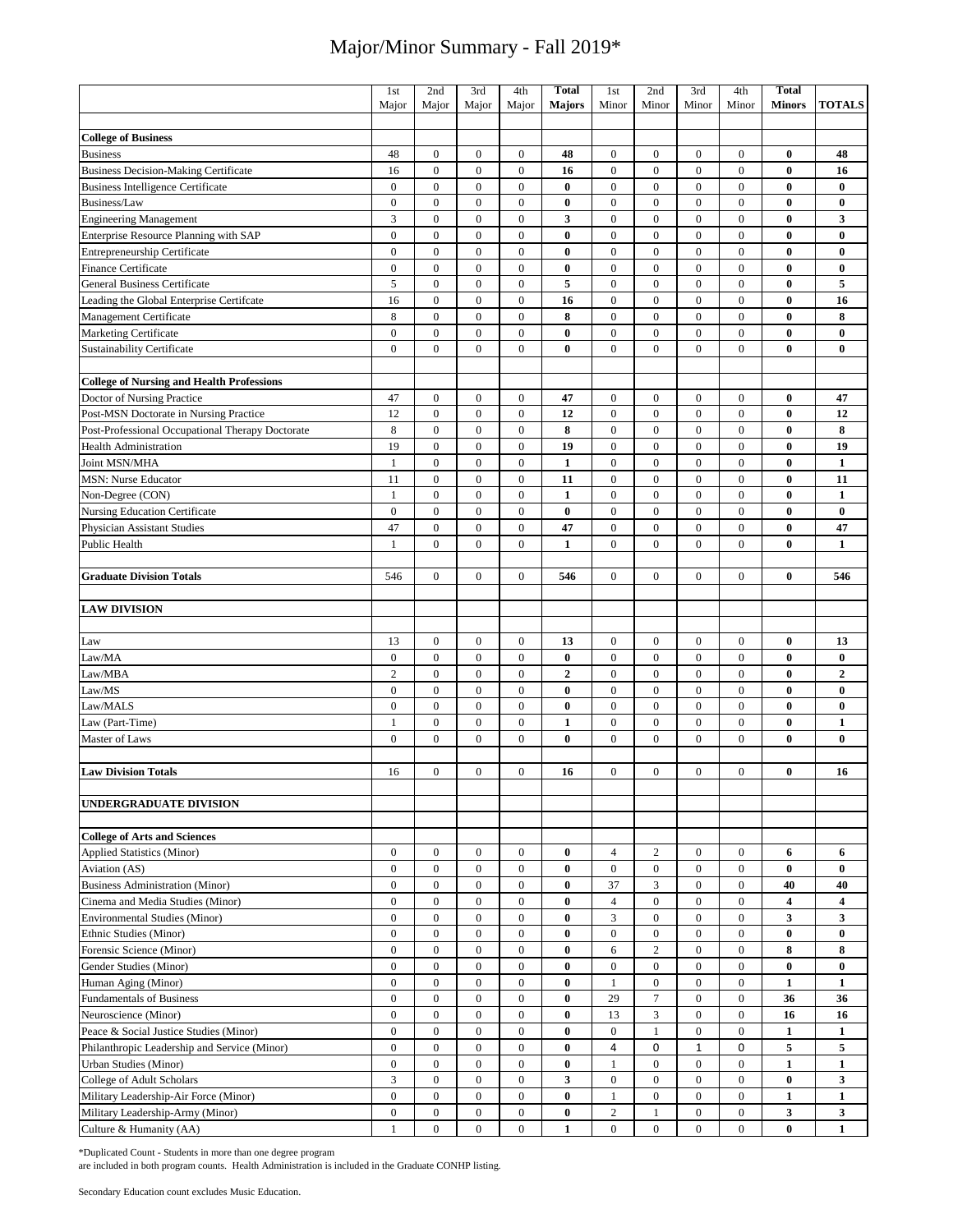|                                                  | 1st              | 2nd              | 3rd                                | 4th              | <b>Total</b>     | 1st              | 2nd              | 3rd              | 4th              | <b>Total</b>            |               |
|--------------------------------------------------|------------------|------------------|------------------------------------|------------------|------------------|------------------|------------------|------------------|------------------|-------------------------|---------------|
|                                                  | Major            | Major            | Major                              | Major            | <b>Majors</b>    | Minor            | Minor            | Minor            | Minor            | <b>Minors</b>           | <b>TOTALS</b> |
|                                                  |                  |                  |                                    |                  |                  |                  |                  |                  |                  |                         |               |
| <b>College of Business</b>                       |                  |                  |                                    |                  |                  |                  |                  |                  |                  |                         |               |
| <b>Business</b>                                  | 48               | $\boldsymbol{0}$ | $\boldsymbol{0}$                   | $\boldsymbol{0}$ | 48               | $\boldsymbol{0}$ | $\boldsymbol{0}$ | $\boldsymbol{0}$ | $\boldsymbol{0}$ | $\bf{0}$                | 48            |
| <b>Business Decision-Making Certificate</b>      | 16               | $\boldsymbol{0}$ | $\boldsymbol{0}$                   | $\boldsymbol{0}$ | 16               | $\mathbf{0}$     | $\boldsymbol{0}$ | $\mathbf{0}$     | $\overline{0}$   | $\bf{0}$                | 16            |
| <b>Business Intelligence Certificate</b>         | $\boldsymbol{0}$ | $\boldsymbol{0}$ | $\boldsymbol{0}$                   | $\boldsymbol{0}$ | $\bf{0}$         | $\boldsymbol{0}$ | $\boldsymbol{0}$ | $\boldsymbol{0}$ | $\boldsymbol{0}$ | $\bf{0}$                | $\bf{0}$      |
| Business/Law                                     | $\overline{0}$   | $\boldsymbol{0}$ | $\boldsymbol{0}$                   | $\boldsymbol{0}$ | $\bf{0}$         | $\boldsymbol{0}$ | $\boldsymbol{0}$ | $\boldsymbol{0}$ | $\boldsymbol{0}$ | $\bf{0}$                | $\bf{0}$      |
| <b>Engineering Management</b>                    | 3                | $\boldsymbol{0}$ | $\boldsymbol{0}$                   | $\boldsymbol{0}$ | 3                | $\boldsymbol{0}$ | $\boldsymbol{0}$ | $\boldsymbol{0}$ | $\boldsymbol{0}$ | $\bf{0}$                | 3             |
| Enterprise Resource Planning with SAP            | $\overline{0}$   | $\boldsymbol{0}$ | $\boldsymbol{0}$                   | $\mathbf{0}$     | $\bf{0}$         | $\boldsymbol{0}$ | $\boldsymbol{0}$ | $\boldsymbol{0}$ | $\overline{0}$   | $\bf{0}$                | $\bf{0}$      |
| Entrepreneurship Certificate                     | $\overline{0}$   | $\overline{0}$   | $\boldsymbol{0}$                   | $\boldsymbol{0}$ | $\bf{0}$         | $\boldsymbol{0}$ | $\boldsymbol{0}$ | $\mathbf{0}$     | $\mathbf{0}$     | $\bf{0}$                | $\bf{0}$      |
| Finance Certificate                              | $\overline{0}$   | $\overline{0}$   | $\overline{0}$                     | $\overline{0}$   | $\bf{0}$         | $\boldsymbol{0}$ | $\boldsymbol{0}$ | $\mathbf{0}$     | $\mathbf{0}$     | $\bf{0}$                | $\bf{0}$      |
| <b>General Business Certificate</b>              | 5                | $\boldsymbol{0}$ | $\boldsymbol{0}$                   | $\boldsymbol{0}$ | 5                | $\boldsymbol{0}$ | $\boldsymbol{0}$ | $\boldsymbol{0}$ | $\boldsymbol{0}$ | $\bf{0}$                | 5             |
| Leading the Global Enterprise Certifcate         | 16               | $\boldsymbol{0}$ | $\boldsymbol{0}$                   | $\boldsymbol{0}$ | 16               | $\boldsymbol{0}$ | $\boldsymbol{0}$ | $\boldsymbol{0}$ | $\mathbf{0}$     | $\bf{0}$                | 16            |
| Management Certificate                           | 8                | $\mathbf{0}$     | $\boldsymbol{0}$                   | $\boldsymbol{0}$ | 8                | $\boldsymbol{0}$ | $\mathbf{0}$     | $\mathbf{0}$     | $\mathbf{0}$     | $\bf{0}$                | 8             |
| Marketing Certificate                            | $\boldsymbol{0}$ | $\boldsymbol{0}$ | $\boldsymbol{0}$                   | $\boldsymbol{0}$ | $\bf{0}$         | $\boldsymbol{0}$ | $\boldsymbol{0}$ | $\mathbf{0}$     | $\mathbf{0}$     | $\bf{0}$                | $\bf{0}$      |
| Sustainability Certificate                       | $\boldsymbol{0}$ | $\boldsymbol{0}$ | $\boldsymbol{0}$                   | $\boldsymbol{0}$ | $\bf{0}$         | $\boldsymbol{0}$ | $\boldsymbol{0}$ | $\mathbf{0}$     | $\mathbf{0}$     | $\bf{0}$                | $\bf{0}$      |
|                                                  |                  |                  |                                    |                  |                  |                  |                  |                  |                  |                         |               |
| <b>College of Nursing and Health Professions</b> |                  |                  |                                    |                  |                  |                  |                  |                  |                  |                         |               |
| Doctor of Nursing Practice                       | 47               | $\boldsymbol{0}$ | $\boldsymbol{0}$                   | $\boldsymbol{0}$ | 47               | $\boldsymbol{0}$ | $\boldsymbol{0}$ | $\boldsymbol{0}$ | $\boldsymbol{0}$ | $\bf{0}$                | 47            |
| Post-MSN Doctorate in Nursing Practice           | 12               | $\boldsymbol{0}$ | $\boldsymbol{0}$                   | $\boldsymbol{0}$ | 12               | $\boldsymbol{0}$ | $\boldsymbol{0}$ | $\boldsymbol{0}$ | $\boldsymbol{0}$ | $\bf{0}$                | 12            |
| Post-Professional Occupational Therapy Doctorate | 8                | $\boldsymbol{0}$ | $\boldsymbol{0}$                   | $\boldsymbol{0}$ | 8                | $\boldsymbol{0}$ | $\boldsymbol{0}$ | $\boldsymbol{0}$ | $\boldsymbol{0}$ | $\bf{0}$                | 8             |
| <b>Health Administration</b>                     | 19               | $\boldsymbol{0}$ | $\boldsymbol{0}$                   | $\boldsymbol{0}$ | 19               | $\boldsymbol{0}$ | $\boldsymbol{0}$ | $\boldsymbol{0}$ | $\boldsymbol{0}$ | $\bf{0}$                | 19            |
| Joint MSN/MHA                                    | $\mathbf{1}$     | $\boldsymbol{0}$ | $\boldsymbol{0}$                   | $\boldsymbol{0}$ | $\mathbf{1}$     | $\boldsymbol{0}$ | $\boldsymbol{0}$ | $\mathbf{0}$     | $\overline{0}$   | $\bf{0}$                | $\mathbf{1}$  |
| <b>MSN: Nurse Educator</b>                       | 11               | $\boldsymbol{0}$ | $\boldsymbol{0}$                   | $\boldsymbol{0}$ | 11               | $\boldsymbol{0}$ | $\boldsymbol{0}$ | $\boldsymbol{0}$ | $\boldsymbol{0}$ | $\bf{0}$                | 11            |
| Non-Degree (CON)                                 | 1                | $\boldsymbol{0}$ | $\boldsymbol{0}$                   | $\boldsymbol{0}$ |                  | $\boldsymbol{0}$ | $\boldsymbol{0}$ | $\boldsymbol{0}$ | $\boldsymbol{0}$ | $\bf{0}$                |               |
|                                                  |                  |                  |                                    |                  | 1                |                  |                  |                  |                  |                         | 1             |
| Nursing Education Certificate                    | $\boldsymbol{0}$ | $\boldsymbol{0}$ | $\boldsymbol{0}$                   | $\boldsymbol{0}$ | 0                | $\boldsymbol{0}$ | $\boldsymbol{0}$ | $\boldsymbol{0}$ | $\boldsymbol{0}$ | $\bf{0}$                | $\bf{0}$      |
| Physician Assistant Studies                      | 47               | $\boldsymbol{0}$ | $\boldsymbol{0}$<br>$\overline{0}$ | $\boldsymbol{0}$ | 47               | $\boldsymbol{0}$ | $\boldsymbol{0}$ | $\boldsymbol{0}$ | $\boldsymbol{0}$ | $\bf{0}$                | 47            |
| Public Health                                    | 1                | $\mathbf{0}$     |                                    | $\overline{0}$   | $\mathbf{1}$     | $\overline{0}$   | $\mathbf{0}$     | $\mathbf{0}$     | $\overline{0}$   | $\bf{0}$                | $\mathbf{1}$  |
|                                                  |                  |                  |                                    |                  |                  |                  |                  |                  |                  |                         |               |
| <b>Graduate Division Totals</b>                  | 546              | $\boldsymbol{0}$ | $\boldsymbol{0}$                   | $\boldsymbol{0}$ | 546              | $\mathbf{0}$     | $\mathbf{0}$     | $\mathbf{0}$     | $\Omega$         | $\bf{0}$                | 546           |
|                                                  |                  |                  |                                    |                  |                  |                  |                  |                  |                  |                         |               |
| <b>LAW DIVISION</b>                              |                  |                  |                                    |                  |                  |                  |                  |                  |                  |                         |               |
|                                                  |                  |                  |                                    |                  |                  |                  |                  |                  |                  |                         |               |
| Law                                              | 13               | $\boldsymbol{0}$ | $\boldsymbol{0}$                   | $\boldsymbol{0}$ | 13               | $\boldsymbol{0}$ | $\boldsymbol{0}$ | $\boldsymbol{0}$ | $\boldsymbol{0}$ | $\bf{0}$                | 13            |
| Law/MA                                           | $\boldsymbol{0}$ | $\boldsymbol{0}$ | $\boldsymbol{0}$                   | $\boldsymbol{0}$ | $\bf{0}$         | $\boldsymbol{0}$ | $\boldsymbol{0}$ | $\boldsymbol{0}$ | $\boldsymbol{0}$ | $\bf{0}$                | $\pmb{0}$     |
| Law/MBA                                          | $\overline{c}$   | $\boldsymbol{0}$ | $\boldsymbol{0}$                   | $\mathbf{0}$     | $\boldsymbol{2}$ | $\boldsymbol{0}$ | $\boldsymbol{0}$ | $\boldsymbol{0}$ | $\mathbf{0}$     | $\bf{0}$                | $\mathbf 2$   |
| Law/MS                                           | $\boldsymbol{0}$ | $\boldsymbol{0}$ | $\boldsymbol{0}$                   | $\boldsymbol{0}$ | $\bf{0}$         | $\boldsymbol{0}$ | $\boldsymbol{0}$ | $\boldsymbol{0}$ | $\mathbf{0}$     | $\bf{0}$                | $\bf{0}$      |
| Law/MALS                                         | $\overline{0}$   | $\boldsymbol{0}$ | $\boldsymbol{0}$                   | $\boldsymbol{0}$ | $\bf{0}$         | $\boldsymbol{0}$ | $\boldsymbol{0}$ | $\boldsymbol{0}$ | $\boldsymbol{0}$ | $\bf{0}$                | $\bf{0}$      |
| Law (Part-Time)                                  | $\mathbf{1}$     | $\boldsymbol{0}$ | $\boldsymbol{0}$                   | $\boldsymbol{0}$ | $\mathbf{1}$     | $\boldsymbol{0}$ | $\boldsymbol{0}$ | $\boldsymbol{0}$ | $\boldsymbol{0}$ | $\bf{0}$                | $\mathbf{1}$  |
| Master of Laws                                   | $\mathbf{0}$     | $\boldsymbol{0}$ | $\boldsymbol{0}$                   | $\boldsymbol{0}$ | $\bf{0}$         | $\boldsymbol{0}$ | $\mathbf{0}$     | $\mathbf{0}$     | $\mathbf{0}$     | $\bf{0}$                | $\bf{0}$      |
|                                                  |                  |                  |                                    |                  |                  |                  |                  |                  |                  |                         |               |
| <b>Law Division Totals</b>                       | 16               | $\boldsymbol{0}$ | $\mathbf{0}$                       | $\mathbf{0}$     | 16               | $\boldsymbol{0}$ | $\boldsymbol{0}$ | $\mathbf{0}$     | $\mathbf{0}$     | $\bf{0}$                | 16            |
|                                                  |                  |                  |                                    |                  |                  |                  |                  |                  |                  |                         |               |
| UNDERGRADUATE DIVISION                           |                  |                  |                                    |                  |                  |                  |                  |                  |                  |                         |               |
|                                                  |                  |                  |                                    |                  |                  |                  |                  |                  |                  |                         |               |
| <b>College of Arts and Sciences</b>              |                  |                  |                                    |                  |                  |                  |                  |                  |                  |                         |               |
| Applied Statistics (Minor)                       | $\overline{0}$   | $\mathbf{0}$     | $\boldsymbol{0}$                   | $\overline{0}$   | $\bf{0}$         | $\overline{4}$   | $\mathbf{2}$     | $\mathbf{0}$     | $\overline{0}$   | 6                       | 6             |
| Aviation (AS)                                    | $\boldsymbol{0}$ | $\boldsymbol{0}$ | $\boldsymbol{0}$                   | $\boldsymbol{0}$ | $\bf{0}$         | $\boldsymbol{0}$ | $\boldsymbol{0}$ | $\mathbf{0}$     | $\boldsymbol{0}$ | $\bf{0}$                | $\bf{0}$      |
| <b>Business Administration (Minor)</b>           | $\boldsymbol{0}$ | $\boldsymbol{0}$ | $\boldsymbol{0}$                   | $\boldsymbol{0}$ | $\bf{0}$         | 37               | 3                | $\boldsymbol{0}$ | $\mathbf{0}$     | 40                      | 40            |
| Cinema and Media Studies (Minor)                 | $\boldsymbol{0}$ | $\boldsymbol{0}$ | $\boldsymbol{0}$                   | $\boldsymbol{0}$ | $\bf{0}$         | $\overline{4}$   | $\boldsymbol{0}$ | $\boldsymbol{0}$ | $\boldsymbol{0}$ | $\overline{\mathbf{4}}$ | 4             |
| <b>Environmental Studies (Minor)</b>             | 0                | $\mathbf{0}$     | $\boldsymbol{0}$                   | 0                | $\bf{0}$         | 3                | $\mathbf{0}$     | $\mathbf{0}$     | 0                | 3                       | 3             |
| Ethnic Studies (Minor)                           | $\boldsymbol{0}$ | $\boldsymbol{0}$ | $\boldsymbol{0}$                   | $\boldsymbol{0}$ | 0                | $\boldsymbol{0}$ | $\boldsymbol{0}$ | $\mathbf{0}$     | $\mathbf{0}$     | $\bf{0}$                | $\bf{0}$      |
| Forensic Science (Minor)                         | $\overline{0}$   | $\mathbf{0}$     | $\mathbf{0}$                       | $\overline{0}$   | $\bf{0}$         | 6                | $\sqrt{2}$       | $\mathbf{0}$     | $\overline{0}$   | 8                       | 8             |
| Gender Studies (Minor)                           | $\overline{0}$   | $\boldsymbol{0}$ | $\boldsymbol{0}$                   | $\boldsymbol{0}$ | $\bf{0}$         | $\boldsymbol{0}$ | $\boldsymbol{0}$ | $\boldsymbol{0}$ | $\mathbf{0}$     | $\bf{0}$                | $\bf{0}$      |
| Human Aging (Minor)                              | $\overline{0}$   | $\mathbf{0}$     | $\boldsymbol{0}$                   | $\boldsymbol{0}$ | 0                | $\mathbf{1}$     | $\boldsymbol{0}$ | $\mathbf{0}$     | $\mathbf{0}$     | $\mathbf{1}$            | 1             |
| Fundamentals of Business                         | $\overline{0}$   | $\boldsymbol{0}$ | $\boldsymbol{0}$                   | $\boldsymbol{0}$ | 0                | 29               | $\tau$           | $\mathbf{0}$     | $\mathbf{0}$     | 36                      | 36            |
| Neuroscience (Minor)                             | $\overline{0}$   | $\mathbf{0}$     | $\mathbf{0}$                       | $\overline{0}$   | $\bf{0}$         | 13               | $\mathfrak{Z}$   | $\mathbf{0}$     | $\mathbf{0}$     | 16                      | 16            |
| Peace & Social Justice Studies (Minor)           | $\boldsymbol{0}$ | $\boldsymbol{0}$ | $\boldsymbol{0}$                   | $\boldsymbol{0}$ | $\bf{0}$         | $\boldsymbol{0}$ | $\mathbf{1}$     | $\boldsymbol{0}$ | $\mathbf{0}$     | $\mathbf{1}$            | 1             |
| Philanthropic Leadership and Service (Minor)     | $\overline{0}$   | $\boldsymbol{0}$ | $\boldsymbol{0}$                   | $\boldsymbol{0}$ | $\bf{0}$         | 4                | 0                | $\mathbf{1}$     | $\mathbf 0$      | 5                       | 5             |
| Urban Studies (Minor)                            | $\overline{0}$   | $\mathbf{0}$     | $\mathbf{0}$                       | $\boldsymbol{0}$ | $\bf{0}$         | 1                | $\mathbf{0}$     | $\mathbf{0}$     | $\overline{0}$   | $\mathbf{1}$            | 1             |
| College of Adult Scholars                        | 3                | $\mathbf{0}$     | $\mathbf{0}$                       | $\mathbf{0}$     | 3                | $\boldsymbol{0}$ | $\boldsymbol{0}$ | $\mathbf{0}$     | $\mathbf{0}$     | $\bf{0}$                | 3             |
| Military Leadership-Air Force (Minor)            | $\overline{0}$   | $\boldsymbol{0}$ | $\boldsymbol{0}$                   | $\bf{0}$         | $\bf{0}$         | $\mathbf{1}$     | $\bf{0}$         | $\bf{0}$         | $\overline{0}$   | $\mathbf{1}$            | $\mathbf{1}$  |
| Military Leadership-Army (Minor)                 | 0                | $\mathbf{0}$     | $\bf{0}$                           | $\overline{0}$   | $\bf{0}$         | $\boldsymbol{2}$ | 1                | $\mathbf{0}$     | $\mathbf{0}$     | 3                       | 3             |
| Culture & Humanity (AA)                          | 1                | $\mathbf{0}$     | $\overline{0}$                     | $\bf{0}$         | $\mathbf{1}$     | $\mathbf{0}$     | $\mathbf{0}$     | $\overline{0}$   | $\overline{0}$   | $\bf{0}$                | $\mathbf{1}$  |

\*Duplicated Count - Students in more than one degree program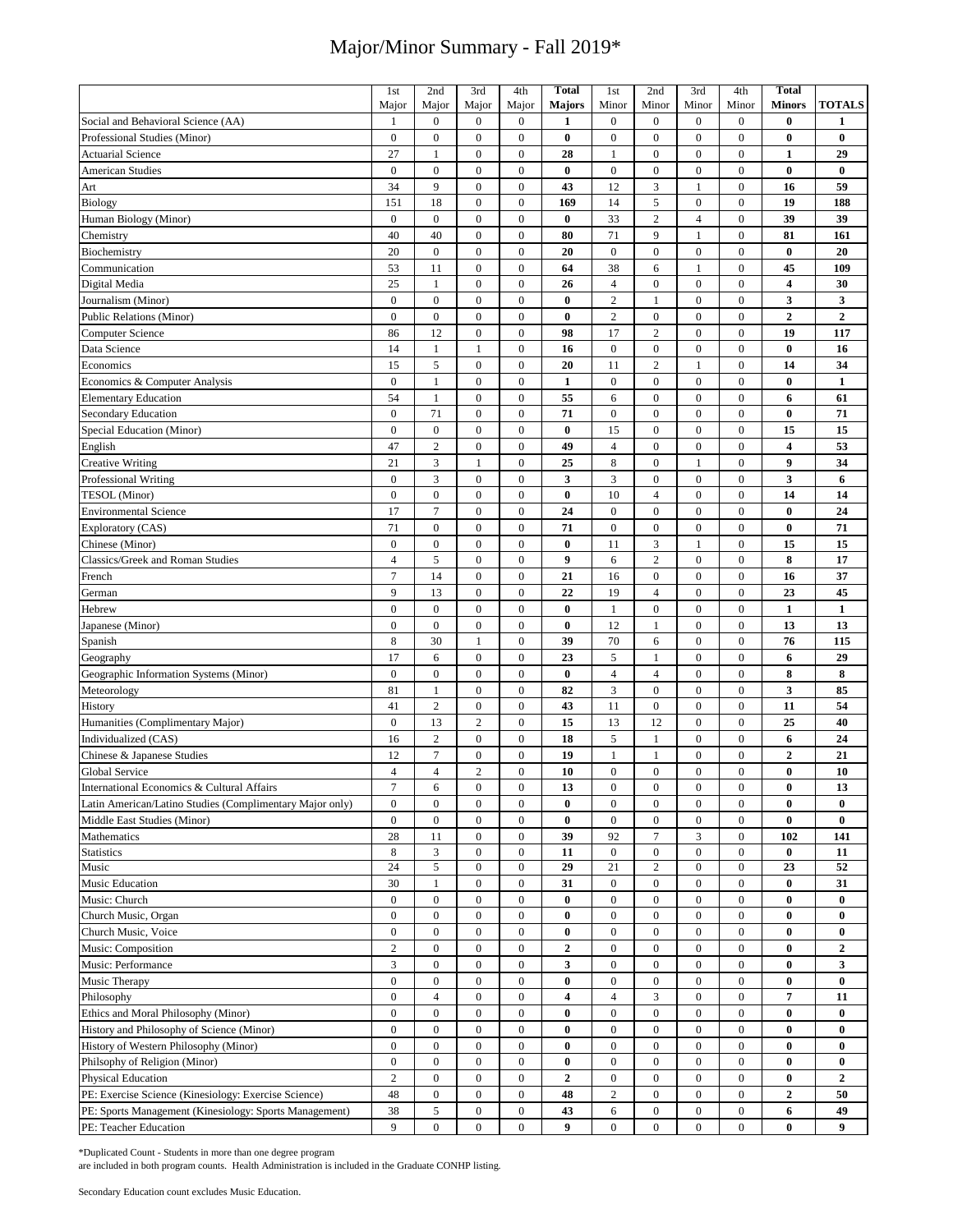|                                                          | 1st                                | 2nd                                | 3rd              | 4th              | <b>Total</b>            | 1st                    | 2nd                            | 3rd              | 4th              | <b>Total</b>               |                  |
|----------------------------------------------------------|------------------------------------|------------------------------------|------------------|------------------|-------------------------|------------------------|--------------------------------|------------------|------------------|----------------------------|------------------|
|                                                          | Major                              | Major                              | Major            | Major            | <b>Majors</b>           | Minor                  | Minor                          | Minor            | Minor            | <b>Minors</b>              | <b>TOTALS</b>    |
| Social and Behavioral Science (AA)                       | 1                                  | $\overline{0}$                     | $\boldsymbol{0}$ | $\bf{0}$         | 1                       | $\mathbf{0}$           | $\mathbf{0}$                   | $\mathbf{0}$     | $\mathbf{0}$     | $\bf{0}$                   | 1                |
| Professional Studies (Minor)                             | $\boldsymbol{0}$                   | $\boldsymbol{0}$                   | $\boldsymbol{0}$ | $\boldsymbol{0}$ | $\bf{0}$                | $\boldsymbol{0}$       | $\mathbf{0}$                   | $\mathbf{0}$     | $\overline{0}$   | $\bf{0}$                   | $\bf{0}$         |
| <b>Actuarial Science</b>                                 | 27                                 | $\mathbf{1}$                       | $\boldsymbol{0}$ | $\boldsymbol{0}$ | 28                      | $\mathbf{1}$           | $\boldsymbol{0}$               | $\boldsymbol{0}$ | $\boldsymbol{0}$ | $\mathbf{1}$               | 29               |
| <b>American Studies</b>                                  | $\bf{0}$                           | $\boldsymbol{0}$                   | $\boldsymbol{0}$ | $\boldsymbol{0}$ | $\bf{0}$                | $\boldsymbol{0}$       | $\boldsymbol{0}$               | $\boldsymbol{0}$ | $\boldsymbol{0}$ | $\bf{0}$                   | $\bf{0}$         |
| Art                                                      | 34                                 | 9                                  | $\boldsymbol{0}$ | $\bf{0}$         | 43                      | 12                     | 3                              | $\mathbf{1}$     | $\bf{0}$         | 16                         | 59               |
| Biology                                                  | 151                                | 18                                 | $\boldsymbol{0}$ | $\boldsymbol{0}$ | 169                     | 14                     | 5                              | $\boldsymbol{0}$ | $\mathbf{0}$     | 19                         | 188              |
| Human Biology (Minor)                                    | $\overline{0}$                     | $\overline{0}$                     | $\boldsymbol{0}$ | $\boldsymbol{0}$ | $\bf{0}$                | 33                     | $\overline{2}$                 | $\overline{4}$   | $\overline{0}$   | 39                         | 39               |
| Chemistry                                                | 40                                 | 40                                 | $\boldsymbol{0}$ | $\boldsymbol{0}$ | 80                      | 71                     | 9                              | $\mathbf{1}$     | $\bf{0}$         | 81                         | 161              |
|                                                          | 20                                 | $\boldsymbol{0}$                   | $\boldsymbol{0}$ | $\boldsymbol{0}$ | 20                      | $\boldsymbol{0}$       | $\boldsymbol{0}$               | $\boldsymbol{0}$ | $\boldsymbol{0}$ | $\bf{0}$                   | 20               |
| Biochemistry                                             |                                    |                                    |                  |                  |                         |                        |                                |                  |                  |                            |                  |
| Communication                                            | 53                                 | 11                                 | $\boldsymbol{0}$ | $\boldsymbol{0}$ | 64                      | 38                     | $\sqrt{6}$                     | $\mathbf{1}$     | $\boldsymbol{0}$ | 45                         | 109              |
| Digital Media                                            | 25                                 | $\mathbf{1}$                       | $\boldsymbol{0}$ | $\boldsymbol{0}$ | 26                      | $\overline{4}$         | $\boldsymbol{0}$               | $\boldsymbol{0}$ | $\mathbf{0}$     | $\overline{\mathbf{4}}$    | 30               |
| Journalism (Minor)                                       | $\boldsymbol{0}$                   | $\boldsymbol{0}$                   | $\boldsymbol{0}$ | $\boldsymbol{0}$ | $\bf{0}$                | $\sqrt{2}$             | $\mathbf{1}$                   | $\boldsymbol{0}$ | $\boldsymbol{0}$ | $\mathbf{3}$               | 3                |
| <b>Public Relations (Minor)</b>                          | $\boldsymbol{0}$                   | $\boldsymbol{0}$                   | $\boldsymbol{0}$ | $\boldsymbol{0}$ | $\bf{0}$                | $\overline{c}$         | $\boldsymbol{0}$               | $\boldsymbol{0}$ | $\boldsymbol{0}$ | $\boldsymbol{2}$           | $\mathbf 2$      |
| Computer Science                                         | 86                                 | 12                                 | $\boldsymbol{0}$ | $\boldsymbol{0}$ | 98                      | 17                     | $\sqrt{2}$                     | $\boldsymbol{0}$ | $\boldsymbol{0}$ | 19                         | 117              |
| Data Science                                             | 14                                 | $\mathbf{1}$                       | $\mathbf{1}$     | $\boldsymbol{0}$ | 16                      | $\boldsymbol{0}$       | $\boldsymbol{0}$               | $\boldsymbol{0}$ | $\overline{0}$   | $\bf{0}$                   | 16               |
| Economics                                                | 15                                 | 5                                  | $\boldsymbol{0}$ | $\boldsymbol{0}$ | 20                      | 11                     | $\sqrt{2}$                     | $\mathbf{1}$     | $\mathbf{0}$     | 14                         | 34               |
| Economics & Computer Analysis                            | $\overline{0}$                     | $\mathbf{1}$                       | $\mathbf{0}$     | $\overline{0}$   | 1                       | $\boldsymbol{0}$       | $\boldsymbol{0}$               | $\boldsymbol{0}$ | $\overline{0}$   | $\bf{0}$                   | $\mathbf{1}$     |
| <b>Elementary Education</b>                              | 54                                 | 1                                  | $\boldsymbol{0}$ | $\boldsymbol{0}$ | 55                      | 6                      | $\boldsymbol{0}$               | $\boldsymbol{0}$ | $\boldsymbol{0}$ | 6                          | 61               |
| <b>Secondary Education</b>                               | $\overline{0}$                     | 71                                 | $\boldsymbol{0}$ | $\boldsymbol{0}$ | 71                      | $\boldsymbol{0}$       | $\mathbf{0}$                   | $\boldsymbol{0}$ | $\overline{0}$   | $\bf{0}$                   | 71               |
| Special Education (Minor)                                | $\mathbf{0}$                       | $\boldsymbol{0}$                   | $\boldsymbol{0}$ | $\overline{0}$   | $\bf{0}$                | 15                     | $\boldsymbol{0}$               | $\overline{0}$   | $\mathbf{0}$     | 15                         | 15               |
| English                                                  | 47                                 | $\overline{c}$                     | $\boldsymbol{0}$ | $\boldsymbol{0}$ | 49                      | $\overline{4}$         | $\boldsymbol{0}$               | $\boldsymbol{0}$ | $\mathbf{0}$     | $\overline{\mathbf{4}}$    | 53               |
| <b>Creative Writing</b>                                  | 21                                 | 3                                  | $\mathbf{1}$     | $\boldsymbol{0}$ | 25                      | $\,$ 8 $\,$            | $\boldsymbol{0}$               | $\mathbf{1}$     | $\boldsymbol{0}$ | $\boldsymbol{9}$           | 34               |
| Professional Writing                                     | $\overline{0}$                     | 3                                  | $\mathbf{0}$     | $\overline{0}$   | 3                       | 3                      | $\boldsymbol{0}$               | $\boldsymbol{0}$ | $\overline{0}$   | $\mathbf{3}$               | 6                |
| <b>TESOL</b> (Minor)                                     | $\mathbf{0}$                       | $\overline{0}$                     | $\mathbf{0}$     | $\mathbf{0}$     | $\bf{0}$                | 10                     | $\overline{4}$                 | $\mathbf{0}$     | $\mathbf{0}$     | 14                         | 14               |
| <b>Environmental Science</b>                             | 17                                 | $\overline{7}$                     | $\boldsymbol{0}$ | $\boldsymbol{0}$ | 24                      | $\boldsymbol{0}$       | $\boldsymbol{0}$               | $\boldsymbol{0}$ | $\overline{0}$   | $\bf{0}$                   | 24               |
| Exploratory (CAS)                                        | 71                                 | $\boldsymbol{0}$                   | $\boldsymbol{0}$ | $\boldsymbol{0}$ | 71                      | $\boldsymbol{0}$       | $\boldsymbol{0}$               | $\boldsymbol{0}$ | $\boldsymbol{0}$ | $\bf{0}$                   | 71               |
| Chinese (Minor)                                          | $\mathbf{0}$                       | $\overline{0}$                     | $\boldsymbol{0}$ | $\boldsymbol{0}$ | $\bf{0}$                | 11                     | 3                              | $\mathbf{1}$     | $\mathbf{0}$     | 15                         | 15               |
| Classics/Greek and Roman Studies                         | $\overline{4}$                     | 5                                  | $\boldsymbol{0}$ | $\boldsymbol{0}$ | 9                       | 6                      | $\sqrt{2}$                     | $\mathbf{0}$     | $\mathbf{0}$     | 8                          | 17               |
| French                                                   | $\overline{7}$                     | 14                                 | $\boldsymbol{0}$ | $\boldsymbol{0}$ | 21                      | 16                     | $\boldsymbol{0}$               | $\boldsymbol{0}$ | $\boldsymbol{0}$ | 16                         | 37               |
| German                                                   | 9                                  | 13                                 | $\boldsymbol{0}$ | $\boldsymbol{0}$ | 22                      | 19                     | $\overline{4}$                 | $\boldsymbol{0}$ | $\mathbf{0}$     | 23                         | 45               |
| Hebrew                                                   | $\overline{0}$                     | $\boldsymbol{0}$                   | $\boldsymbol{0}$ | $\boldsymbol{0}$ | $\bf{0}$                | $\mathbf{1}$           | $\boldsymbol{0}$               | $\boldsymbol{0}$ | $\boldsymbol{0}$ | $\mathbf{1}$               | $\mathbf{1}$     |
| Japanese (Minor)                                         | $\boldsymbol{0}$                   | $\boldsymbol{0}$                   | $\boldsymbol{0}$ | $\boldsymbol{0}$ | $\bf{0}$                | 12                     | $\mathbf{1}$                   | $\boldsymbol{0}$ | $\boldsymbol{0}$ | 13                         | 13               |
| Spanish                                                  | 8                                  | 30                                 | $\mathbf{1}$     | $\boldsymbol{0}$ | 39                      | 70                     | 6                              | $\boldsymbol{0}$ | $\mathbf{0}$     | 76                         | 115              |
| Geography                                                | 17                                 | 6                                  | $\boldsymbol{0}$ | $\boldsymbol{0}$ | 23                      | 5                      | $\mathbf{1}$                   | $\boldsymbol{0}$ | $\overline{0}$   | 6                          | 29               |
| Geographic Information Systems (Minor)                   | $\boldsymbol{0}$                   | $\boldsymbol{0}$                   | $\boldsymbol{0}$ | $\boldsymbol{0}$ | $\bf{0}$                | $\overline{4}$         | $\overline{4}$                 | $\boldsymbol{0}$ | $\boldsymbol{0}$ | 8                          | 8                |
| Meteorology                                              | 81                                 | $\mathbf{1}$                       | $\boldsymbol{0}$ | $\boldsymbol{0}$ | 82                      | 3                      | $\boldsymbol{0}$               | $\boldsymbol{0}$ | $\boldsymbol{0}$ | $\overline{\mathbf{3}}$    | 85               |
| History                                                  | 41                                 | $\overline{c}$                     | $\boldsymbol{0}$ | $\boldsymbol{0}$ | 43                      | 11                     | $\boldsymbol{0}$               | $\boldsymbol{0}$ | $\mathbf{0}$     | 11                         | 54               |
| Humanities (Complimentary Major)                         | $\overline{0}$                     | 13                                 | $\sqrt{2}$       | $\boldsymbol{0}$ | 15                      | 13                     | 12                             | $\boldsymbol{0}$ | $\boldsymbol{0}$ | 25                         | 40               |
| Individualized (CAS)                                     | 16                                 | $\overline{c}$                     | $\boldsymbol{0}$ | $\boldsymbol{0}$ | 18                      | 5                      | $\mathbf{1}$                   | $\boldsymbol{0}$ | $\boldsymbol{0}$ | 6                          | 24               |
| Chinese & Japanese Studies                               | 12                                 | $\tau$                             | $\boldsymbol{0}$ | $\boldsymbol{0}$ | 19                      | $\mathbf{1}$           | $\mathbf{1}$                   | $\boldsymbol{0}$ | $\overline{0}$   | $\overline{2}$             | 21               |
| Global Service                                           | $\overline{4}$                     | $\overline{4}$                     | $\sqrt{2}$       | $\boldsymbol{0}$ | 10                      | $\boldsymbol{0}$       | $\boldsymbol{0}$               | $\boldsymbol{0}$ | $\overline{0}$   | $\bf{0}$                   | 10               |
| International Economics & Cultural Affairs               | 7                                  |                                    | $\boldsymbol{0}$ | $\bf{0}$         | 13                      | 0                      | $\boldsymbol{0}$               | $\boldsymbol{0}$ | $\bf{0}$         | $\bf{0}$                   | 13               |
|                                                          | $\boldsymbol{0}$                   | 6<br>$\boldsymbol{0}$              | $\boldsymbol{0}$ | $\boldsymbol{0}$ | $\bf{0}$                | $\boldsymbol{0}$       | $\boldsymbol{0}$               | $\boldsymbol{0}$ | $\boldsymbol{0}$ | $\bf{0}$                   | $\bf{0}$         |
| Latin American/Latino Studies (Complimentary Major only) | $\overline{0}$                     | $\overline{0}$                     | $\boldsymbol{0}$ | $\boldsymbol{0}$ | $\bf{0}$                | $\boldsymbol{0}$       | $\boldsymbol{0}$               | $\boldsymbol{0}$ | $\boldsymbol{0}$ | $\bf{0}$                   | $\bf{0}$         |
| Middle East Studies (Minor)                              |                                    |                                    | $\boldsymbol{0}$ | $\boldsymbol{0}$ |                         |                        | $\boldsymbol{7}$               | $\mathfrak{Z}$   | $\boldsymbol{0}$ | 102                        |                  |
| Mathematics                                              | 28<br>8                            | 11                                 | $\boldsymbol{0}$ | $\boldsymbol{0}$ | 39                      | 92<br>$\boldsymbol{0}$ |                                | $\boldsymbol{0}$ | $\boldsymbol{0}$ | $\bf{0}$                   | 141              |
| <b>Statistics</b><br>Music                               | 24                                 | 3<br>5                             | $\boldsymbol{0}$ | $\boldsymbol{0}$ | 11<br>29                | 21                     | $\boldsymbol{0}$<br>$\sqrt{2}$ | $\boldsymbol{0}$ | $\boldsymbol{0}$ | 23                         | 11<br>52         |
| Music Education                                          | 30                                 | $\mathbf{1}$                       | $\boldsymbol{0}$ | $\boldsymbol{0}$ | 31                      | $\boldsymbol{0}$       | $\boldsymbol{0}$               | $\boldsymbol{0}$ | $\boldsymbol{0}$ | $\bf{0}$                   | 31               |
| Music: Church                                            | $\overline{0}$                     | $\boldsymbol{0}$                   | $\boldsymbol{0}$ | $\boldsymbol{0}$ | $\bf{0}$                | $\boldsymbol{0}$       | $\boldsymbol{0}$               | $\boldsymbol{0}$ | $\overline{0}$   | $\bf{0}$                   | $\bf{0}$         |
|                                                          | $\boldsymbol{0}$                   | $\boldsymbol{0}$                   | $\boldsymbol{0}$ | $\boldsymbol{0}$ | $\bf{0}$                | $\boldsymbol{0}$       | $\boldsymbol{0}$               | $\boldsymbol{0}$ | $\boldsymbol{0}$ | $\bf{0}$                   | $\bf{0}$         |
| Church Music, Organ                                      | $\overline{0}$                     | $\overline{0}$                     | $\boldsymbol{0}$ | $\boldsymbol{0}$ | $\bf{0}$                | $\boldsymbol{0}$       | $\boldsymbol{0}$               | $\boldsymbol{0}$ | $\boldsymbol{0}$ | $\bf{0}$                   | $\bf{0}$         |
| Church Music, Voice                                      |                                    |                                    |                  |                  |                         |                        |                                |                  |                  |                            |                  |
| Music: Composition                                       | $\boldsymbol{2}$                   | $\boldsymbol{0}$                   | $\boldsymbol{0}$ | $\boldsymbol{0}$ | $\boldsymbol{2}$        | $\boldsymbol{0}$       | $\boldsymbol{0}$               | $\boldsymbol{0}$ | $\boldsymbol{0}$ | $\bf{0}$                   | $\boldsymbol{2}$ |
| Music: Performance                                       | 3                                  | $\boldsymbol{0}$                   | $\boldsymbol{0}$ | $\boldsymbol{0}$ | 3                       | $\boldsymbol{0}$       | $\boldsymbol{0}$               | $\boldsymbol{0}$ | $\boldsymbol{0}$ | $\bf{0}$                   | 3                |
| Music Therapy                                            | $\boldsymbol{0}$<br>$\overline{0}$ | $\boldsymbol{0}$<br>$\overline{4}$ | $\boldsymbol{0}$ | $\boldsymbol{0}$ | $\bf{0}$                | $\boldsymbol{0}$       | $\boldsymbol{0}$               | $\boldsymbol{0}$ | $\boldsymbol{0}$ | $\bf{0}$<br>$\overline{7}$ | $\bf{0}$         |
| Philosophy                                               |                                    |                                    | $\boldsymbol{0}$ | $\boldsymbol{0}$ | $\overline{\mathbf{4}}$ | $\overline{4}$         | $\overline{3}$                 | $\boldsymbol{0}$ | $\mathbf{0}$     |                            | 11               |
| Ethics and Moral Philosophy (Minor)                      | $\boldsymbol{0}$                   | $\boldsymbol{0}$                   | $\boldsymbol{0}$ | $\boldsymbol{0}$ | $\bf{0}$                | $\boldsymbol{0}$       | $\boldsymbol{0}$               | $\boldsymbol{0}$ | $\boldsymbol{0}$ | $\bf{0}$                   | $\bf{0}$         |
| History and Philosophy of Science (Minor)                | $\overline{0}$                     | $\boldsymbol{0}$                   | $\boldsymbol{0}$ | $\boldsymbol{0}$ | $\bf{0}$                | $\boldsymbol{0}$       | $\boldsymbol{0}$               | $\boldsymbol{0}$ | $\boldsymbol{0}$ | $\bf{0}$                   | $\bf{0}$         |
| History of Western Philosophy (Minor)                    | $\boldsymbol{0}$                   | $\boldsymbol{0}$                   | $\boldsymbol{0}$ | $\boldsymbol{0}$ | $\bf{0}$                | $\boldsymbol{0}$       | $\boldsymbol{0}$               | $\boldsymbol{0}$ | $\boldsymbol{0}$ | $\bf{0}$                   | $\bf{0}$         |
| Philsophy of Religion (Minor)                            | $\overline{0}$                     | $\boldsymbol{0}$                   | $\boldsymbol{0}$ | $\boldsymbol{0}$ | 0                       | $\boldsymbol{0}$       | $\boldsymbol{0}$               | $\boldsymbol{0}$ | $\boldsymbol{0}$ | $\bf{0}$                   | $\bf{0}$         |
| <b>Physical Education</b>                                | $\overline{c}$                     | $\boldsymbol{0}$                   | $\boldsymbol{0}$ | $\boldsymbol{0}$ | $\mathbf{2}$            | $\boldsymbol{0}$       | $\boldsymbol{0}$               | $\boldsymbol{0}$ | $\boldsymbol{0}$ | $\bf{0}$                   | $\boldsymbol{2}$ |
| PE: Exercise Science (Kinesiology: Exercise Science)     | 48                                 | $\boldsymbol{0}$                   | $\boldsymbol{0}$ | $\boldsymbol{0}$ | 48                      | $\overline{c}$         | $\boldsymbol{0}$               | $\boldsymbol{0}$ | $\boldsymbol{0}$ | $\overline{2}$             | 50               |
| PE: Sports Management (Kinesiology: Sports Management)   | 38                                 | 5                                  | $\boldsymbol{0}$ | $\boldsymbol{0}$ | 43                      | 6                      | $\boldsymbol{0}$               | $\boldsymbol{0}$ | $\boldsymbol{0}$ | 6                          | 49               |
| PE: Teacher Education                                    | 9                                  | $\overline{0}$                     | $\boldsymbol{0}$ | $\boldsymbol{0}$ | 9                       | $\boldsymbol{0}$       | $\boldsymbol{0}$               | $\mathbf{0}$     | $\mathbf{0}$     | $\bf{0}$                   | 9                |

\*Duplicated Count - Students in more than one degree program